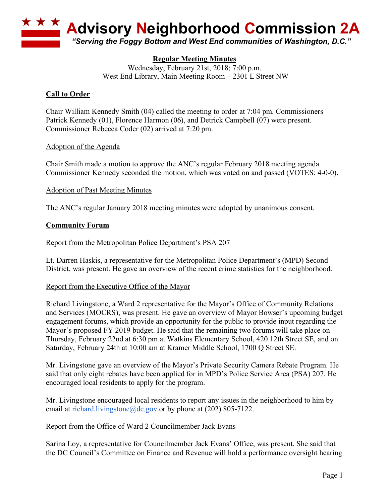

# **Regular Meeting Minutes**

Wednesday, February 21st, 2018; 7:00 p.m. West End Library, Main Meeting Room – 2301 L Street NW

### **Call to Order**

Chair William Kennedy Smith (04) called the meeting to order at 7:04 pm. Commissioners Patrick Kennedy (01), Florence Harmon (06), and Detrick Campbell (07) were present. Commissioner Rebecca Coder (02) arrived at 7:20 pm.

#### Adoption of the Agenda

Chair Smith made a motion to approve the ANC's regular February 2018 meeting agenda. Commissioner Kennedy seconded the motion, which was voted on and passed (VOTES: 4-0-0).

#### Adoption of Past Meeting Minutes

The ANC's regular January 2018 meeting minutes were adopted by unanimous consent.

#### **Community Forum**

#### Report from the Metropolitan Police Department's PSA 207

Lt. Darren Haskis, a representative for the Metropolitan Police Department's (MPD) Second District, was present. He gave an overview of the recent crime statistics for the neighborhood.

#### Report from the Executive Office of the Mayor

Richard Livingstone, a Ward 2 representative for the Mayor's Office of Community Relations and Services (MOCRS), was present. He gave an overview of Mayor Bowser's upcoming budget engagement forums, which provide an opportunity for the public to provide input regarding the Mayor's proposed FY 2019 budget. He said that the remaining two forums will take place on Thursday, February 22nd at 6:30 pm at Watkins Elementary School, 420 12th Street SE, and on Saturday, February 24th at 10:00 am at Kramer Middle School, 1700 Q Street SE.

Mr. Livingstone gave an overview of the Mayor's Private Security Camera Rebate Program. He said that only eight rebates have been applied for in MPD's Police Service Area (PSA) 207. He encouraged local residents to apply for the program.

Mr. Livingstone encouraged local residents to report any issues in the neighborhood to him by email at richard.livingstone@dc.gov or by phone at (202) 805-7122.

#### Report from the Office of Ward 2 Councilmember Jack Evans

Sarina Loy, a representative for Councilmember Jack Evans' Office, was present. She said that the DC Council's Committee on Finance and Revenue will hold a performance oversight hearing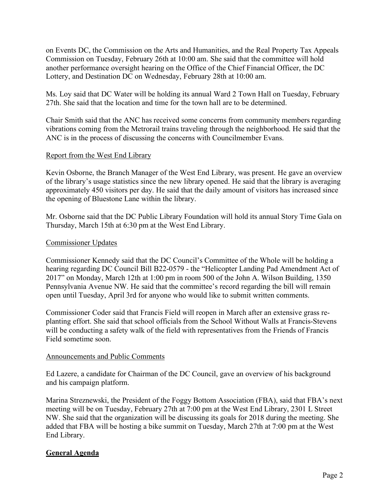on Events DC, the Commission on the Arts and Humanities, and the Real Property Tax Appeals Commission on Tuesday, February 26th at 10:00 am. She said that the committee will hold another performance oversight hearing on the Office of the Chief Financial Officer, the DC Lottery, and Destination DC on Wednesday, February 28th at 10:00 am.

Ms. Loy said that DC Water will be holding its annual Ward 2 Town Hall on Tuesday, February 27th. She said that the location and time for the town hall are to be determined.

Chair Smith said that the ANC has received some concerns from community members regarding vibrations coming from the Metrorail trains traveling through the neighborhood. He said that the ANC is in the process of discussing the concerns with Councilmember Evans.

#### Report from the West End Library

Kevin Osborne, the Branch Manager of the West End Library, was present. He gave an overview of the library's usage statistics since the new library opened. He said that the library is averaging approximately 450 visitors per day. He said that the daily amount of visitors has increased since the opening of Bluestone Lane within the library.

Mr. Osborne said that the DC Public Library Foundation will hold its annual Story Time Gala on Thursday, March 15th at 6:30 pm at the West End Library.

#### Commissioner Updates

Commissioner Kennedy said that the DC Council's Committee of the Whole will be holding a hearing regarding DC Council Bill B22-0579 - the "Helicopter Landing Pad Amendment Act of 2017" on Monday, March 12th at 1:00 pm in room 500 of the John A. Wilson Building, 1350 Pennsylvania Avenue NW. He said that the committee's record regarding the bill will remain open until Tuesday, April 3rd for anyone who would like to submit written comments.

Commissioner Coder said that Francis Field will reopen in March after an extensive grass replanting effort. She said that school officials from the School Without Walls at Francis-Stevens will be conducting a safety walk of the field with representatives from the Friends of Francis Field sometime soon.

#### Announcements and Public Comments

Ed Lazere, a candidate for Chairman of the DC Council, gave an overview of his background and his campaign platform.

Marina Streznewski, the President of the Foggy Bottom Association (FBA), said that FBA's next meeting will be on Tuesday, February 27th at 7:00 pm at the West End Library, 2301 L Street NW. She said that the organization will be discussing its goals for 2018 during the meeting. She added that FBA will be hosting a bike summit on Tuesday, March 27th at 7:00 pm at the West End Library.

# **General Agenda**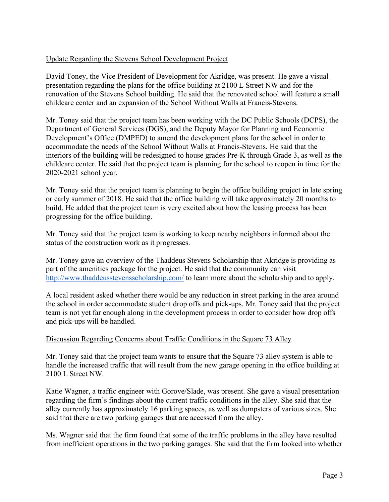# Update Regarding the Stevens School Development Project

David Toney, the Vice President of Development for Akridge, was present. He gave a visual presentation regarding the plans for the office building at 2100 L Street NW and for the renovation of the Stevens School building. He said that the renovated school will feature a small childcare center and an expansion of the School Without Walls at Francis-Stevens.

Mr. Toney said that the project team has been working with the DC Public Schools (DCPS), the Department of General Services (DGS), and the Deputy Mayor for Planning and Economic Development's Office (DMPED) to amend the development plans for the school in order to accommodate the needs of the School Without Walls at Francis-Stevens. He said that the interiors of the building will be redesigned to house grades Pre-K through Grade 3, as well as the childcare center. He said that the project team is planning for the school to reopen in time for the 2020-2021 school year.

Mr. Toney said that the project team is planning to begin the office building project in late spring or early summer of 2018. He said that the office building will take approximately 20 months to build. He added that the project team is very excited about how the leasing process has been progressing for the office building.

Mr. Toney said that the project team is working to keep nearby neighbors informed about the status of the construction work as it progresses.

Mr. Toney gave an overview of the Thaddeus Stevens Scholarship that Akridge is providing as part of the amenities package for the project. He said that the community can visit http://www.thaddeusstevensscholarship.com/ to learn more about the scholarship and to apply.

A local resident asked whether there would be any reduction in street parking in the area around the school in order accommodate student drop offs and pick-ups. Mr. Toney said that the project team is not yet far enough along in the development process in order to consider how drop offs and pick-ups will be handled.

#### Discussion Regarding Concerns about Traffic Conditions in the Square 73 Alley

Mr. Toney said that the project team wants to ensure that the Square 73 alley system is able to handle the increased traffic that will result from the new garage opening in the office building at 2100 L Street NW.

Katie Wagner, a traffic engineer with Gorove/Slade, was present. She gave a visual presentation regarding the firm's findings about the current traffic conditions in the alley. She said that the alley currently has approximately 16 parking spaces, as well as dumpsters of various sizes. She said that there are two parking garages that are accessed from the alley.

Ms. Wagner said that the firm found that some of the traffic problems in the alley have resulted from inefficient operations in the two parking garages. She said that the firm looked into whether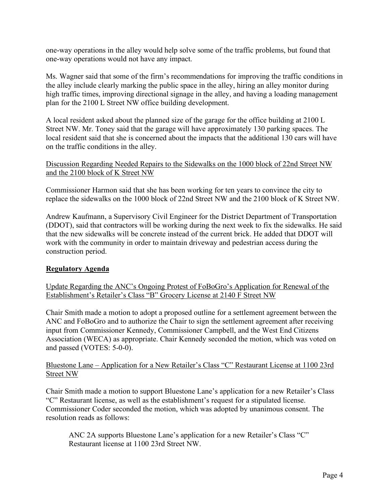one-way operations in the alley would help solve some of the traffic problems, but found that one-way operations would not have any impact.

Ms. Wagner said that some of the firm's recommendations for improving the traffic conditions in the alley include clearly marking the public space in the alley, hiring an alley monitor during high traffic times, improving directional signage in the alley, and having a loading management plan for the 2100 L Street NW office building development.

A local resident asked about the planned size of the garage for the office building at 2100 L Street NW. Mr. Toney said that the garage will have approximately 130 parking spaces. The local resident said that she is concerned about the impacts that the additional 130 cars will have on the traffic conditions in the alley.

### Discussion Regarding Needed Repairs to the Sidewalks on the 1000 block of 22nd Street NW and the 2100 block of K Street NW

Commissioner Harmon said that she has been working for ten years to convince the city to replace the sidewalks on the 1000 block of 22nd Street NW and the 2100 block of K Street NW.

Andrew Kaufmann, a Supervisory Civil Engineer for the District Department of Transportation (DDOT), said that contractors will be working during the next week to fix the sidewalks. He said that the new sidewalks will be concrete instead of the current brick. He added that DDOT will work with the community in order to maintain driveway and pedestrian access during the construction period.

# **Regulatory Agenda**

Update Regarding the ANC's Ongoing Protest of FoBoGro's Application for Renewal of the Establishment's Retailer's Class "B" Grocery License at 2140 F Street NW

Chair Smith made a motion to adopt a proposed outline for a settlement agreement between the ANC and FoBoGro and to authorize the Chair to sign the settlement agreement after receiving input from Commissioner Kennedy, Commissioner Campbell, and the West End Citizens Association (WECA) as appropriate. Chair Kennedy seconded the motion, which was voted on and passed (VOTES: 5-0-0).

#### Bluestone Lane – Application for a New Retailer's Class "C" Restaurant License at 1100 23rd Street NW

Chair Smith made a motion to support Bluestone Lane's application for a new Retailer's Class "C" Restaurant license, as well as the establishment's request for a stipulated license. Commissioner Coder seconded the motion, which was adopted by unanimous consent. The resolution reads as follows:

ANC 2A supports Bluestone Lane's application for a new Retailer's Class "C" Restaurant license at 1100 23rd Street NW.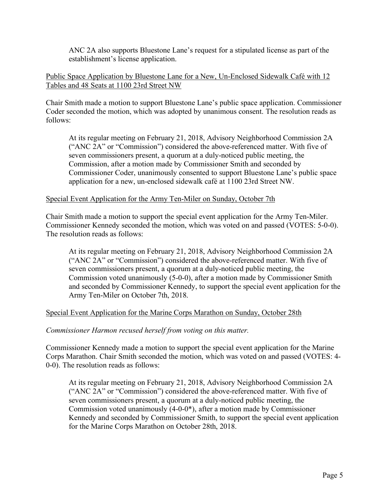ANC 2A also supports Bluestone Lane's request for a stipulated license as part of the establishment's license application.

### Public Space Application by Bluestone Lane for a New, Un-Enclosed Sidewalk Café with 12 Tables and 48 Seats at 1100 23rd Street NW

Chair Smith made a motion to support Bluestone Lane's public space application. Commissioner Coder seconded the motion, which was adopted by unanimous consent. The resolution reads as follows:

At its regular meeting on February 21, 2018, Advisory Neighborhood Commission 2A ("ANC 2A" or "Commission") considered the above-referenced matter. With five of seven commissioners present, a quorum at a duly-noticed public meeting, the Commission, after a motion made by Commissioner Smith and seconded by Commissioner Coder, unanimously consented to support Bluestone Lane's public space application for a new, un-enclosed sidewalk café at 1100 23rd Street NW.

#### Special Event Application for the Army Ten-Miler on Sunday, October 7th

Chair Smith made a motion to support the special event application for the Army Ten-Miler. Commissioner Kennedy seconded the motion, which was voted on and passed (VOTES: 5-0-0). The resolution reads as follows:

At its regular meeting on February 21, 2018, Advisory Neighborhood Commission 2A ("ANC 2A" or "Commission") considered the above-referenced matter. With five of seven commissioners present, a quorum at a duly-noticed public meeting, the Commission voted unanimously (5-0-0), after a motion made by Commissioner Smith and seconded by Commissioner Kennedy, to support the special event application for the Army Ten-Miler on October 7th, 2018.

# Special Event Application for the Marine Corps Marathon on Sunday, October 28th

#### *Commissioner Harmon recused herself from voting on this matter.*

Commissioner Kennedy made a motion to support the special event application for the Marine Corps Marathon. Chair Smith seconded the motion, which was voted on and passed (VOTES: 4- 0-0). The resolution reads as follows:

At its regular meeting on February 21, 2018, Advisory Neighborhood Commission 2A ("ANC 2A" or "Commission") considered the above-referenced matter. With five of seven commissioners present, a quorum at a duly-noticed public meeting, the Commission voted unanimously (4-0-0\*), after a motion made by Commissioner Kennedy and seconded by Commissioner Smith, to support the special event application for the Marine Corps Marathon on October 28th, 2018.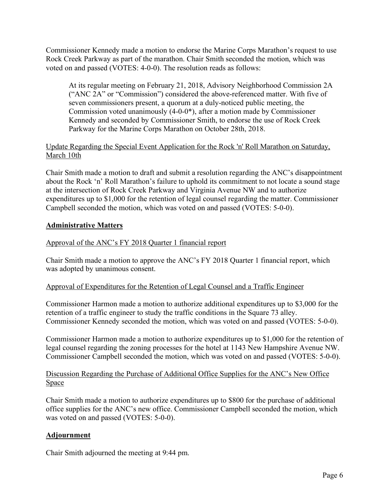Commissioner Kennedy made a motion to endorse the Marine Corps Marathon's request to use Rock Creek Parkway as part of the marathon. Chair Smith seconded the motion, which was voted on and passed (VOTES: 4-0-0). The resolution reads as follows:

At its regular meeting on February 21, 2018, Advisory Neighborhood Commission 2A ("ANC 2A" or "Commission") considered the above-referenced matter. With five of seven commissioners present, a quorum at a duly-noticed public meeting, the Commission voted unanimously (4-0-0\*), after a motion made by Commissioner Kennedy and seconded by Commissioner Smith, to endorse the use of Rock Creek Parkway for the Marine Corps Marathon on October 28th, 2018.

# Update Regarding the Special Event Application for the Rock 'n' Roll Marathon on Saturday, March 10th

Chair Smith made a motion to draft and submit a resolution regarding the ANC's disappointment about the Rock 'n' Roll Marathon's failure to uphold its commitment to not locate a sound stage at the intersection of Rock Creek Parkway and Virginia Avenue NW and to authorize expenditures up to \$1,000 for the retention of legal counsel regarding the matter. Commissioner Campbell seconded the motion, which was voted on and passed (VOTES: 5-0-0).

# **Administrative Matters**

# Approval of the ANC's FY 2018 Quarter 1 financial report

Chair Smith made a motion to approve the ANC's FY 2018 Quarter 1 financial report, which was adopted by unanimous consent.

# Approval of Expenditures for the Retention of Legal Counsel and a Traffic Engineer

Commissioner Harmon made a motion to authorize additional expenditures up to \$3,000 for the retention of a traffic engineer to study the traffic conditions in the Square 73 alley. Commissioner Kennedy seconded the motion, which was voted on and passed (VOTES: 5-0-0).

Commissioner Harmon made a motion to authorize expenditures up to \$1,000 for the retention of legal counsel regarding the zoning processes for the hotel at 1143 New Hampshire Avenue NW. Commissioner Campbell seconded the motion, which was voted on and passed (VOTES: 5-0-0).

# Discussion Regarding the Purchase of Additional Office Supplies for the ANC's New Office Space

Chair Smith made a motion to authorize expenditures up to \$800 for the purchase of additional office supplies for the ANC's new office. Commissioner Campbell seconded the motion, which was voted on and passed (VOTES: 5-0-0).

# **Adjournment**

Chair Smith adjourned the meeting at 9:44 pm.